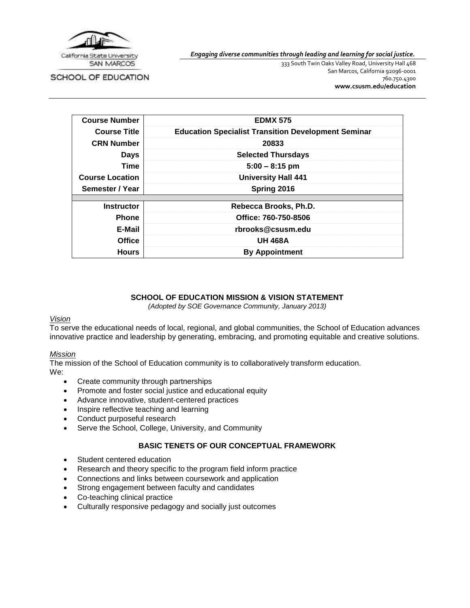

SCHOOL OF EDUCATION

*Engaging diverse communities through leading and learning for social justice.*

333 South Twin Oaks Valley Road, University Hall 468 San Marcos, California 92096-0001 760.750.4300 **[www.csusm.edu/education](http://www.csusm.edu/education)**

| <b>Course Number</b>   | <b>EDMX 575</b>                                            |
|------------------------|------------------------------------------------------------|
| <b>Course Title</b>    | <b>Education Specialist Transition Development Seminar</b> |
| <b>CRN Number</b>      | 20833                                                      |
| Days                   | <b>Selected Thursdays</b>                                  |
| Time                   | $5:00 - 8:15$ pm                                           |
| <b>Course Location</b> | <b>University Hall 441</b>                                 |
| Semester / Year        | Spring 2016                                                |
|                        |                                                            |
| <b>Instructor</b>      | Rebecca Brooks, Ph.D.                                      |
| <b>Phone</b>           | Office: 760-750-8506                                       |
| E-Mail                 | rbrooks@csusm.edu                                          |
| <b>Office</b>          | <b>UH 468A</b>                                             |
| <b>Hours</b>           | <b>By Appointment</b>                                      |

#### **SCHOOL OF EDUCATION MISSION & VISION STATEMENT**

*(Adopted by SOE Governance Community, January 2013)*

#### *Vision*

To serve the educational needs of local, regional, and global communities, the School of Education advances innovative practice and leadership by generating, embracing, and promoting equitable and creative solutions.

#### *Mission*

The mission of the School of Education community is to collaboratively transform education. We:

- Create community through partnerships
- Promote and foster social justice and educational equity
- Advance innovative, student-centered practices
- Inspire reflective teaching and learning
- Conduct purposeful research
- Serve the School, College, University, and Community

## **BASIC TENETS OF OUR CONCEPTUAL FRAMEWORK**

- Student centered education
- Research and theory specific to the program field inform practice
- Connections and links between coursework and application
- Strong engagement between faculty and candidates
- Co-teaching clinical practice
- Culturally responsive pedagogy and socially just outcomes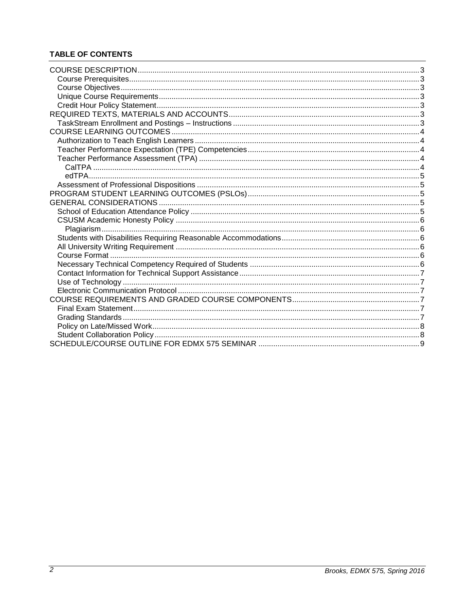# **TABLE OF CONTENTS**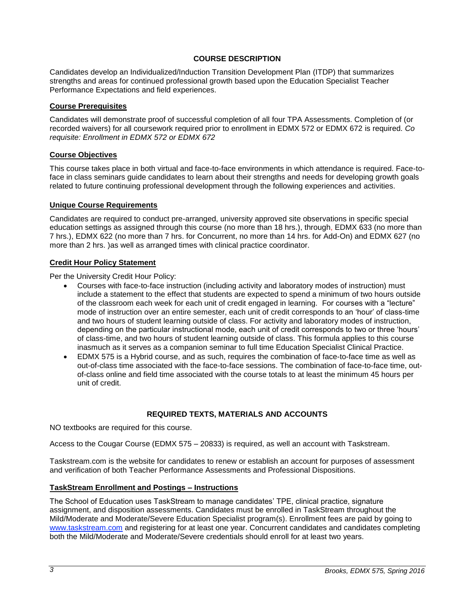#### **COURSE DESCRIPTION**

<span id="page-2-0"></span>Candidates develop an Individualized/Induction Transition Development Plan (ITDP) that summarizes strengths and areas for continued professional growth based upon the Education Specialist Teacher Performance Expectations and field experiences.

#### <span id="page-2-1"></span>**Course Prerequisites**

Candidates will demonstrate proof of successful completion of all four TPA Assessments. Completion of (or recorded waivers) for all coursework required prior to enrollment in EDMX 572 or EDMX 672 is required. *Co requisite: Enrollment in EDMX 572 or EDMX 672*

#### <span id="page-2-2"></span>**Course Objectives**

This course takes place in both virtual and face-to-face environments in which attendance is required. Face-toface in class seminars guide candidates to learn about their strengths and needs for developing growth goals related to future continuing professional development through the following experiences and activities.

#### <span id="page-2-3"></span>**Unique Course Requirements**

Candidates are required to conduct pre-arranged, university approved site observations in specific special education settings as assigned through this course (no more than 18 hrs.), through, EDMX 633 (no more than 7 hrs.), EDMX 622 (no more than 7 hrs. for Concurrent, no more than 14 hrs. for Add-On) and EDMX 627 (no more than 2 hrs. )as well as arranged times with clinical practice coordinator.

#### <span id="page-2-4"></span>**Credit Hour Policy Statement**

Per the University Credit Hour Policy:

- Courses with face-to-face instruction (including activity and laboratory modes of instruction) must include a statement to the effect that students are expected to spend a minimum of two hours outside of the classroom each week for each unit of credit engaged in learning. For courses with a "lecture" mode of instruction over an entire semester, each unit of credit corresponds to an 'hour' of class-time and two hours of student learning outside of class. For activity and laboratory modes of instruction, depending on the particular instructional mode, each unit of credit corresponds to two or three 'hours' of class-time, and two hours of student learning outside of class. This formula applies to this course inasmuch as it serves as a companion seminar to full time Education Specialist Clinical Practice.
- EDMX 575 is a Hybrid course, and as such, requires the combination of face-to-face time as well as out-of-class time associated with the face-to-face sessions. The combination of face-to-face time, outof-class online and field time associated with the course totals to at least the minimum 45 hours per unit of credit.

## **REQUIRED TEXTS, MATERIALS AND ACCOUNTS**

<span id="page-2-5"></span>NO textbooks are required for this course.

Access to the Cougar Course (EDMX 575 – 20833) is required, as well an account with Taskstream.

Taskstream.com is the website for candidates to renew or establish an account for purposes of assessment and verification of both Teacher Performance Assessments and Professional Dispositions.

#### <span id="page-2-6"></span>**TaskStream Enrollment and Postings – Instructions**

The School of Education uses TaskStream to manage candidates' TPE, clinical practice, signature assignment, and disposition assessments. Candidates must be enrolled in TaskStream throughout the Mild/Moderate and Moderate/Severe Education Specialist program(s). Enrollment fees are paid by going to [www.taskstream.com](https://bl2prd0510.outlook.com/owa/redir.aspx?C=BCCRQqSYiUGfF8D5o1hWda_4K252ddAIWfHJ-9hEDukuBafQrA7uFT9QzjT3BGXTnuKNALZtCyo.&URL=http%3a%2f%2fwww.taskstrem.com%2f) and registering for at least one year. Concurrent candidates and candidates completing both the Mild/Moderate and Moderate/Severe credentials should enroll for at least two years.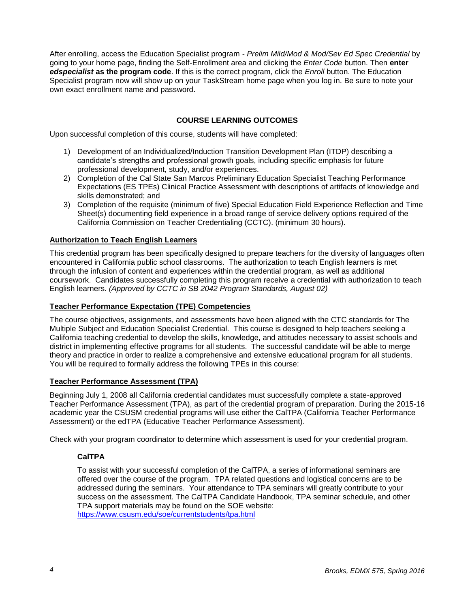After enrolling, access the Education Specialist program - *Prelim Mild/Mod & Mod/Sev Ed Spec Credential* by going to your home page, finding the Self-Enrollment area and clicking the *Enter Code* button. Then **enter**  *edspecialist* **as the program code**. If this is the correct program, click the *Enroll* button. The Education Specialist program now will show up on your TaskStream home page when you log in. Be sure to note your own exact enrollment name and password.

## **COURSE LEARNING OUTCOMES**

<span id="page-3-0"></span>Upon successful completion of this course, students will have completed:

- 1) Development of an Individualized/Induction Transition Development Plan (ITDP) describing a candidate's strengths and professional growth goals, including specific emphasis for future professional development, study, and/or experiences.
- 2) Completion of the Cal State San Marcos Preliminary Education Specialist Teaching Performance Expectations (ES TPEs) Clinical Practice Assessment with descriptions of artifacts of knowledge and skills demonstrated; and
- 3) Completion of the requisite (minimum of five) Special Education Field Experience Reflection and Time Sheet(s) documenting field experience in a broad range of service delivery options required of the California Commission on Teacher Credentialing (CCTC). (minimum 30 hours).

## <span id="page-3-1"></span>**Authorization to Teach English Learners**

This credential program has been specifically designed to prepare teachers for the diversity of languages often encountered in California public school classrooms. The authorization to teach English learners is met through the infusion of content and experiences within the credential program, as well as additional coursework. Candidates successfully completing this program receive a credential with authorization to teach English learners. *(Approved by CCTC in SB 2042 Program Standards, August 02)*

#### <span id="page-3-2"></span>**Teacher Performance Expectation (TPE) Competencies**

The course objectives, assignments, and assessments have been aligned with the CTC standards for The Multiple Subject and Education Specialist Credential. This course is designed to help teachers seeking a California teaching credential to develop the skills, knowledge, and attitudes necessary to assist schools and district in implementing effective programs for all students. The successful candidate will be able to merge theory and practice in order to realize a comprehensive and extensive educational program for all students. You will be required to formally address the following TPEs in this course:

#### <span id="page-3-3"></span>**Teacher Performance Assessment (TPA)**

Beginning July 1, 2008 all California credential candidates must successfully complete a state-approved Teacher Performance Assessment (TPA), as part of the credential program of preparation. During the 2015-16 academic year the CSUSM credential programs will use either the CalTPA (California Teacher Performance Assessment) or the edTPA (Educative Teacher Performance Assessment).

<span id="page-3-4"></span>Check with your program coordinator to determine which assessment is used for your credential program.

## **CalTPA**

To assist with your successful completion of the CalTPA, a series of informational seminars are offered over the course of the program. TPA related questions and logistical concerns are to be addressed during the seminars. Your attendance to TPA seminars will greatly contribute to your success on the assessment. The CalTPA Candidate Handbook, TPA seminar schedule, and other TPA support materials may be found on the SOE website: <https://www.csusm.edu/soe/currentstudents/tpa.html>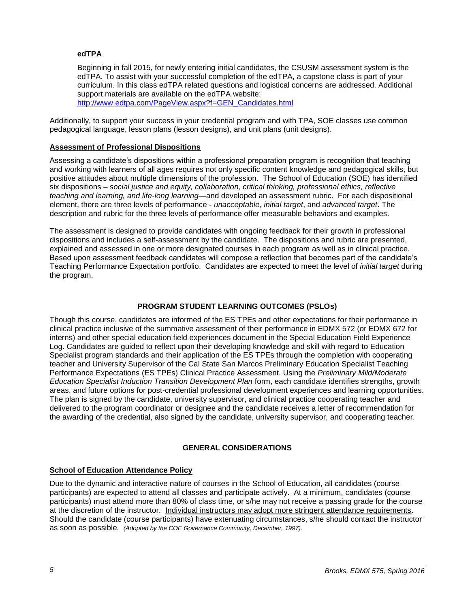## <span id="page-4-0"></span>**edTPA**

Beginning in fall 2015, for newly entering initial candidates, the CSUSM assessment system is the edTPA. To assist with your successful completion of the edTPA, a capstone class is part of your curriculum. In this class edTPA related questions and logistical concerns are addressed. Additional support materials are available on the edTPA website: [http://www.edtpa.com/PageView.aspx?f=GEN\\_Candidates.html](http://www.edtpa.com/PageView.aspx?f=GEN_Candidates.html)

Additionally, to support your success in your credential program and with TPA, SOE classes use common pedagogical language, lesson plans (lesson designs), and unit plans (unit designs).

#### <span id="page-4-1"></span>**Assessment of Professional Dispositions**

Assessing a candidate's dispositions within a professional preparation program is recognition that teaching and working with learners of all ages requires not only specific content knowledge and pedagogical skills, but positive attitudes about multiple dimensions of the profession. The School of Education (SOE) has identified six dispositions – *social justice and equity, collaboration, critical thinking, professional ethics, reflective teaching and learning, and life-long learning*—and developed an assessment rubric. For each dispositional element, there are three levels of performance - *unacceptable*, *initial target*, and *advanced target*. The description and rubric for the three levels of performance offer measurable behaviors and examples.

The assessment is designed to provide candidates with ongoing feedback for their growth in professional dispositions and includes a self-assessment by the candidate. The dispositions and rubric are presented, explained and assessed in one or more designated courses in each program as well as in clinical practice. Based upon assessment feedback candidates will compose a reflection that becomes part of the candidate's Teaching Performance Expectation portfolio. Candidates are expected to meet the level of *initial target* during the program.

## **PROGRAM STUDENT LEARNING OUTCOMES (PSLOs)**

<span id="page-4-2"></span>Though this course, candidates are informed of the ES TPEs and other expectations for their performance in clinical practice inclusive of the summative assessment of their performance in EDMX 572 (or EDMX 672 for interns) and other special education field experiences document in the Special Education Field Experience Log. Candidates are guided to reflect upon their developing knowledge and skill with regard to Education Specialist program standards and their application of the ES TPEs through the completion with cooperating teacher and University Supervisor of the Cal State San Marcos Preliminary Education Specialist Teaching Performance Expectations (ES TPEs) Clinical Practice Assessment. Using the *Preliminary Mild/Moderate Education Specialist Induction Transition Development Plan* form, each candidate identifies strengths, growth areas, and future options for post-credential professional development experiences and learning opportunities. The plan is signed by the candidate, university supervisor, and clinical practice cooperating teacher and delivered to the program coordinator or designee and the candidate receives a letter of recommendation for the awarding of the credential, also signed by the candidate, university supervisor, and cooperating teacher.

## **GENERAL CONSIDERATIONS**

## <span id="page-4-4"></span><span id="page-4-3"></span>**School of Education Attendance Policy**

Due to the dynamic and interactive nature of courses in the School of Education, all candidates (course participants) are expected to attend all classes and participate actively. At a minimum, candidates (course participants) must attend more than 80% of class time, or s/he may not receive a passing grade for the course at the discretion of the instructor. Individual instructors may adopt more stringent attendance requirements. Should the candidate (course participants) have extenuating circumstances, s/he should contact the instructor as soon as possible. *(Adopted by the COE Governance Community, December, 1997).*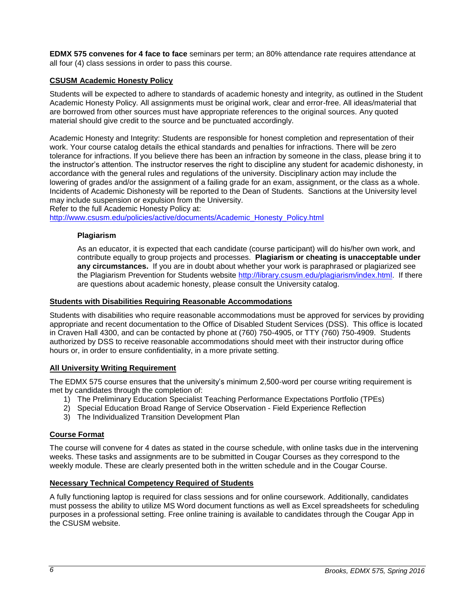**EDMX 575 convenes for 4 face to face** seminars per term; an 80% attendance rate requires attendance at all four (4) class sessions in order to pass this course.

## <span id="page-5-0"></span>**CSUSM Academic Honesty Policy**

Students will be expected to adhere to standards of academic honesty and integrity, as outlined in the Student Academic Honesty Policy. All assignments must be original work, clear and error-free. All ideas/material that are borrowed from other sources must have appropriate references to the original sources. Any quoted material should give credit to the source and be punctuated accordingly.

Academic Honesty and Integrity: Students are responsible for honest completion and representation of their work. Your course catalog details the ethical standards and penalties for infractions. There will be zero tolerance for infractions. If you believe there has been an infraction by someone in the class, please bring it to the instructor's attention. The instructor reserves the right to discipline any student for academic dishonesty, in accordance with the general rules and regulations of the university. Disciplinary action may include the lowering of grades and/or the assignment of a failing grade for an exam, assignment, or the class as a whole. Incidents of Academic Dishonesty will be reported to the Dean of Students. Sanctions at the University level may include suspension or expulsion from the University.

Refer to the full Academic Honesty Policy at:

<span id="page-5-1"></span>[http://www.csusm.edu/policies/active/documents/Academic\\_Honesty\\_Policy.html](http://www.csusm.edu/policies/active/documents/Academic_Honesty_Policy.html)

#### **Plagiarism**

As an educator, it is expected that each candidate (course participant) will do his/her own work, and contribute equally to group projects and processes. **Plagiarism or cheating is unacceptable under any circumstances.** If you are in doubt about whether your work is paraphrased or plagiarized see the Plagiarism Prevention for Students website [http://library.csusm.edu/plagiarism/index.html.](http://library.csusm.edu/plagiarism/index.html) If there are questions about academic honesty, please consult the University catalog.

#### <span id="page-5-2"></span>**Students with Disabilities Requiring Reasonable Accommodations**

Students with disabilities who require reasonable accommodations must be approved for services by providing appropriate and recent documentation to the Office of Disabled Student Services (DSS). This office is located in Craven Hall 4300, and can be contacted by phone at (760) 750-4905, or TTY (760) 750-4909. Students authorized by DSS to receive reasonable accommodations should meet with their instructor during office hours or, in order to ensure confidentiality, in a more private setting.

#### <span id="page-5-3"></span>**All University Writing Requirement**

The EDMX 575 course ensures that the university's minimum 2,500-word per course writing requirement is met by candidates through the completion of:

- 1) The Preliminary Education Specialist Teaching Performance Expectations Portfolio (TPEs)
- 2) Special Education Broad Range of Service Observation Field Experience Reflection
- 3) The Individualized Transition Development Plan

## <span id="page-5-4"></span>**Course Format**

The course will convene for 4 dates as stated in the course schedule, with online tasks due in the intervening weeks. These tasks and assignments are to be submitted in Cougar Courses as they correspond to the weekly module. These are clearly presented both in the written schedule and in the Cougar Course.

## <span id="page-5-5"></span>**Necessary Technical Competency Required of Students**

A fully functioning laptop is required for class sessions and for online coursework. Additionally, candidates must possess the ability to utilize MS Word document functions as well as Excel spreadsheets for scheduling purposes in a professional setting. Free online training is available to candidates through the Cougar App in the CSUSM website.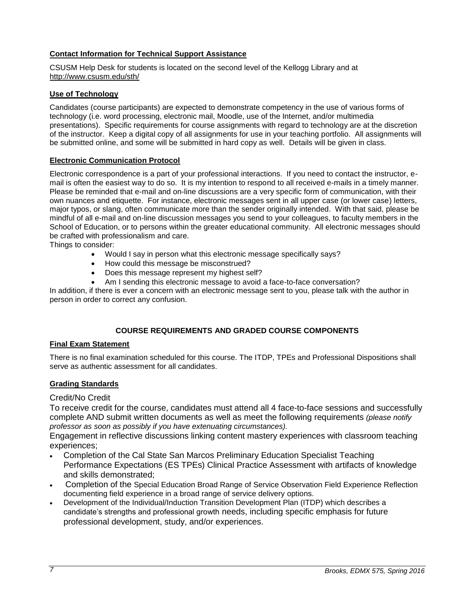## <span id="page-6-0"></span>**Contact Information for Technical Support Assistance**

CSUSM Help Desk for students is located on the second level of the Kellogg Library and at <http://www.csusm.edu/sth/>

## <span id="page-6-1"></span>**Use of Technology**

Candidates (course participants) are expected to demonstrate competency in the use of various forms of technology (i.e. word processing, electronic mail, Moodle, use of the Internet, and/or multimedia presentations). Specific requirements for course assignments with regard to technology are at the discretion of the instructor. Keep a digital copy of all assignments for use in your teaching portfolio. All assignments will be submitted online, and some will be submitted in hard copy as well. Details will be given in class.

## <span id="page-6-2"></span>**Electronic Communication Protocol**

Electronic correspondence is a part of your professional interactions. If you need to contact the instructor, email is often the easiest way to do so. It is my intention to respond to all received e-mails in a timely manner. Please be reminded that e-mail and on-line discussions are a very specific form of communication, with their own nuances and etiquette. For instance, electronic messages sent in all upper case (or lower case) letters, major typos, or slang, often communicate more than the sender originally intended. With that said, please be mindful of all e-mail and on-line discussion messages you send to your colleagues, to faculty members in the School of Education, or to persons within the greater educational community. All electronic messages should be crafted with professionalism and care.

Things to consider:

- Would I say in person what this electronic message specifically says?
- How could this message be misconstrued?
- Does this message represent my highest self?
- Am I sending this electronic message to avoid a face-to-face conversation?

In addition, if there is ever a concern with an electronic message sent to you, please talk with the author in person in order to correct any confusion.

## **COURSE REQUIREMENTS AND GRADED COURSE COMPONENTS**

## <span id="page-6-4"></span><span id="page-6-3"></span>**Final Exam Statement**

There is no final examination scheduled for this course. The ITDP, TPEs and Professional Dispositions shall serve as authentic assessment for all candidates.

## <span id="page-6-5"></span>**Grading Standards**

## Credit/No Credit

To receive credit for the course, candidates must attend all 4 face-to-face sessions and successfully complete AND submit written documents as well as meet the following requirements *(please notify professor as soon as possibly if you have extenuating circumstances).* 

Engagement in reflective discussions linking content mastery experiences with classroom teaching experiences;

- Completion of the Cal State San Marcos Preliminary Education Specialist Teaching Performance Expectations (ES TPEs) Clinical Practice Assessment with artifacts of knowledge and skills demonstrated;
- Completion of the Special Education Broad Range of Service Observation Field Experience Reflection documenting field experience in a broad range of service delivery options.
- Development of the Individual/Induction Transition Development Plan (ITDP) which describes a candidate's strengths and professional growth needs, including specific emphasis for future professional development, study, and/or experiences.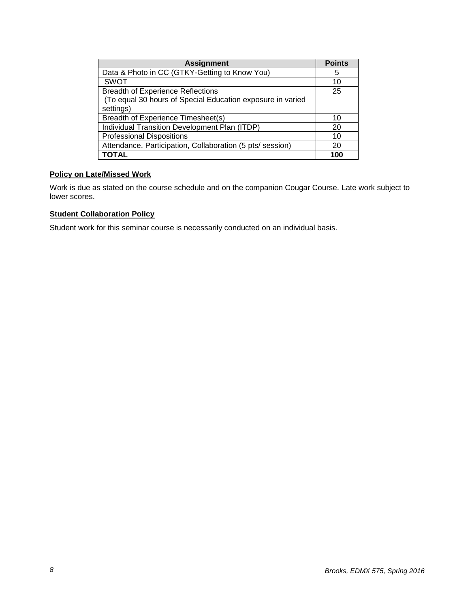| <b>Assignment</b>                                          | <b>Points</b> |
|------------------------------------------------------------|---------------|
| Data & Photo in CC (GTKY-Getting to Know You)              | 5             |
| <b>SWOT</b>                                                | 10            |
| <b>Breadth of Experience Reflections</b>                   | 25            |
| (To equal 30 hours of Special Education exposure in varied |               |
| settings)                                                  |               |
| Breadth of Experience Timesheet(s)                         | 10            |
| Individual Transition Development Plan (ITDP)              | 20            |
| <b>Professional Dispositions</b>                           | 10            |
| Attendance, Participation, Collaboration (5 pts/ session)  | 20            |
| <b>TOTAL</b>                                               | 100           |

# <span id="page-7-0"></span>**Policy on Late/Missed Work**

Work is due as stated on the course schedule and on the companion Cougar Course. Late work subject to lower scores.

## <span id="page-7-1"></span>**Student Collaboration Policy**

Student work for this seminar course is necessarily conducted on an individual basis.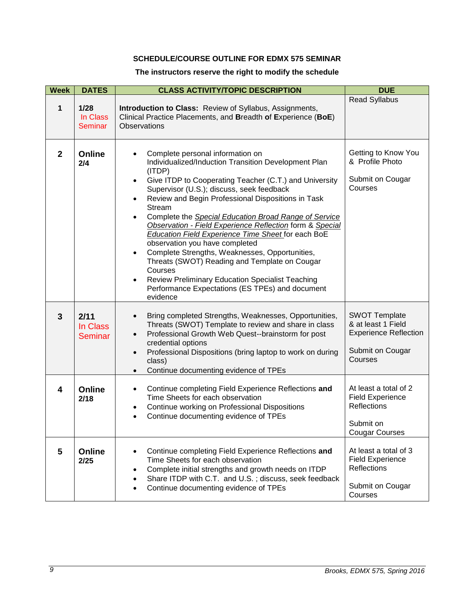## **SCHEDULE/COURSE OUTLINE FOR EDMX 575 SEMINAR**

# **The instructors reserve the right to modify the schedule**

<span id="page-8-0"></span>

| <b>Week</b>  | <b>DATES</b>                       | <b>CLASS ACTIVITY/TOPIC DESCRIPTION</b>                                                                                                                                                                                                                                                                                                                                                                                                                                                                                                                                                                                                                                                                                                                                                                      | <b>DUE</b>                                                                                                   |
|--------------|------------------------------------|--------------------------------------------------------------------------------------------------------------------------------------------------------------------------------------------------------------------------------------------------------------------------------------------------------------------------------------------------------------------------------------------------------------------------------------------------------------------------------------------------------------------------------------------------------------------------------------------------------------------------------------------------------------------------------------------------------------------------------------------------------------------------------------------------------------|--------------------------------------------------------------------------------------------------------------|
| 1            | 1/28<br>In Class<br><b>Seminar</b> | Introduction to Class: Review of Syllabus, Assignments,<br>Clinical Practice Placements, and Breadth of Experience (BoE)<br><b>Observations</b>                                                                                                                                                                                                                                                                                                                                                                                                                                                                                                                                                                                                                                                              | <b>Read Syllabus</b>                                                                                         |
| $\mathbf{2}$ | Online<br>2/4                      | Complete personal information on<br>$\bullet$<br>Individualized/Induction Transition Development Plan<br>(ITDP)<br>Give ITDP to Cooperating Teacher (C.T.) and University<br>$\bullet$<br>Supervisor (U.S.); discuss, seek feedback<br>Review and Begin Professional Dispositions in Task<br>$\bullet$<br>Stream<br>Complete the Special Education Broad Range of Service<br>$\bullet$<br>Observation - Field Experience Reflection form & Special<br>Education Field Experience Time Sheet for each BoE<br>observation you have completed<br>Complete Strengths, Weaknesses, Opportunities,<br>$\bullet$<br>Threats (SWOT) Reading and Template on Cougar<br>Courses<br><b>Review Preliminary Education Specialist Teaching</b><br>$\bullet$<br>Performance Expectations (ES TPEs) and document<br>evidence | Getting to Know You<br>& Profile Photo<br>Submit on Cougar<br>Courses                                        |
| $\mathbf{3}$ | 2/11<br>In Class<br><b>Seminar</b> | Bring completed Strengths, Weaknesses, Opportunities,<br>$\bullet$<br>Threats (SWOT) Template to review and share in class<br>Professional Growth Web Quest--brainstorm for post<br>$\bullet$<br>credential options<br>Professional Dispositions (bring laptop to work on during<br>$\bullet$<br>class)<br>Continue documenting evidence of TPEs<br>$\bullet$                                                                                                                                                                                                                                                                                                                                                                                                                                                | <b>SWOT Template</b><br>& at least 1 Field<br><b>Experience Reflection</b><br>Submit on Cougar<br>Courses    |
| 4            | <b>Online</b><br>2/18              | Continue completing Field Experience Reflections and<br>$\bullet$<br>Time Sheets for each observation<br>Continue working on Professional Dispositions<br>$\bullet$<br>Continue documenting evidence of TPEs<br>$\bullet$                                                                                                                                                                                                                                                                                                                                                                                                                                                                                                                                                                                    | At least a total of 2<br><b>Field Experience</b><br><b>Reflections</b><br>Submit on<br><b>Cougar Courses</b> |
| 5            | Online<br>2/25                     | Continue completing Field Experience Reflections and<br>$\bullet$<br>Time Sheets for each observation<br>Complete initial strengths and growth needs on ITDP<br>$\bullet$<br>Share ITDP with C.T. and U.S.; discuss, seek feedback<br>Continue documenting evidence of TPEs<br>$\bullet$                                                                                                                                                                                                                                                                                                                                                                                                                                                                                                                     | At least a total of 3<br><b>Field Experience</b><br><b>Reflections</b><br>Submit on Cougar<br>Courses        |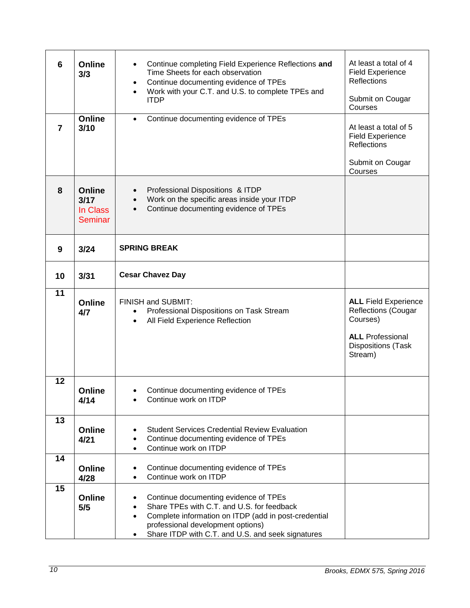| 6                       | <b>Online</b><br>3/3                                | Continue completing Field Experience Reflections and<br>$\bullet$<br>Time Sheets for each observation<br>Continue documenting evidence of TPEs<br>$\bullet$<br>Work with your C.T. and U.S. to complete TPEs and<br>$\bullet$<br><b>ITDP</b>                                 | At least a total of 4<br><b>Field Experience</b><br><b>Reflections</b><br>Submit on Cougar<br>Courses                                    |
|-------------------------|-----------------------------------------------------|------------------------------------------------------------------------------------------------------------------------------------------------------------------------------------------------------------------------------------------------------------------------------|------------------------------------------------------------------------------------------------------------------------------------------|
| $\overline{\mathbf{z}}$ | <b>Online</b><br>3/10                               | Continue documenting evidence of TPEs<br>$\bullet$                                                                                                                                                                                                                           | At least a total of 5<br><b>Field Experience</b><br><b>Reflections</b><br>Submit on Cougar                                               |
|                         |                                                     |                                                                                                                                                                                                                                                                              | Courses                                                                                                                                  |
| 8                       | <b>Online</b><br>3/17<br>In Class<br><b>Seminar</b> | Professional Dispositions & ITDP<br>$\bullet$<br>Work on the specific areas inside your ITDP<br>$\bullet$<br>Continue documenting evidence of TPEs<br>$\bullet$                                                                                                              |                                                                                                                                          |
| 9                       | 3/24                                                | <b>SPRING BREAK</b>                                                                                                                                                                                                                                                          |                                                                                                                                          |
| 10                      | 3/31                                                | <b>Cesar Chavez Day</b>                                                                                                                                                                                                                                                      |                                                                                                                                          |
| 11                      | <b>Online</b><br>4/7                                | FINISH and SUBMIT:<br>Professional Dispositions on Task Stream<br>$\bullet$<br>All Field Experience Reflection<br>$\bullet$                                                                                                                                                  | <b>ALL Field Experience</b><br><b>Reflections (Cougar</b><br>Courses)<br><b>ALL</b> Professional<br><b>Dispositions</b> (Task<br>Stream) |
| 12                      | <b>Online</b><br>4/14                               | Continue documenting evidence of TPEs<br>Continue work on ITDP                                                                                                                                                                                                               |                                                                                                                                          |
| 13                      | Online<br>4/21                                      | <b>Student Services Credential Review Evaluation</b><br>$\bullet$<br>Continue documenting evidence of TPEs<br>$\bullet$<br>Continue work on ITDP<br>$\bullet$                                                                                                                |                                                                                                                                          |
| 14                      | <b>Online</b><br>4/28                               | Continue documenting evidence of TPEs<br>$\bullet$<br>Continue work on ITDP<br>$\bullet$                                                                                                                                                                                     |                                                                                                                                          |
| 15                      | <b>Online</b><br>5/5                                | Continue documenting evidence of TPEs<br>$\bullet$<br>Share TPEs with C.T. and U.S. for feedback<br>$\bullet$<br>Complete information on ITDP (add in post-credential<br>$\bullet$<br>professional development options)<br>Share ITDP with C.T. and U.S. and seek signatures |                                                                                                                                          |